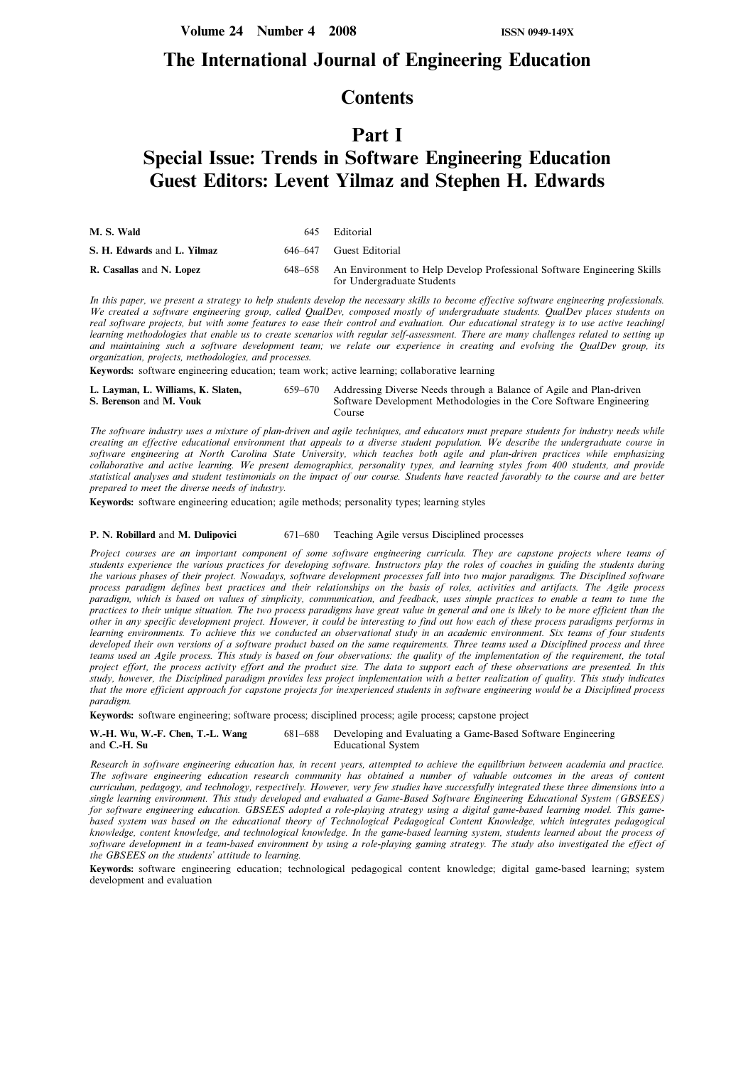### The International Journal of Engineering Education

### **Contents**

## Part I

# Special Issue: Trends in Software Engineering Education Guest Editors: Levent Yilmaz and Stephen H. Edwards

| M. S. Wald                  | 645     | Editorial                                                                                             |
|-----------------------------|---------|-------------------------------------------------------------------------------------------------------|
| S. H. Edwards and L. Yilmaz |         | 646–647 Guest Editorial                                                                               |
| R. Casallas and N. Lopez    | 648–658 | An Environment to Help Develop Professional Software Engineering Skills<br>for Undergraduate Students |

In this paper, we present a strategy to help students develop the necessary skills to become effective software engineering professionals. We created a software engineering group, called QualDev, composed mostly of undergraduate students. QualDev places students on real software projects, but with some features to ease their control and evaluation. Our educational strategy is to use active teaching/ learning methodologies that enable us to create scenarios with regular self-assessment. There are many challenges related to setting up and maintaining such a software development team; we relate our experience in creating and evolving the QualDev group, its organization, projects, methodologies, and processes.

Keywords: software engineering education; team work; active learning; collaborative learning

| L. Layman, L. Williams, K. Slaten, | 659–670 | Addressing Diverse Needs through a Balance of Agile and Plan-driven           |
|------------------------------------|---------|-------------------------------------------------------------------------------|
| S. Berenson and M. Vouk            |         | Software Development Methodologies in the Core Software Engineering<br>Course |

The software industry uses a mixture of plan-driven and agile techniques, and educators must prepare students for industry needs while creating an effective educational environment that appeals to a diverse student population. We describe the undergraduate course in software engineering at North Carolina State University, which teaches both agile and plan-driven practices while emphasizing collaborative and active learning. We present demographics, personality types, and learning styles from 400 students, and provide statistical analyses and student testimonials on the impact of our course. Students have reacted favorably to the course and are better prepared to meet the diverse needs of industry.

Keywords: software engineering education; agile methods; personality types; learning styles

### P. N. Robillard and M. Dulipovici 671–680 Teaching Agile versus Disciplined processes

Project courses are an important component of some software engineering curricula. They are capstone projects where teams of students experience the various practices for developing software. Instructors play the roles of coaches in guiding the students during the various phases of their project. Nowadays, software development processes fall into two major paradigms. The Disciplined software process paradigm defines best practices and their relationships on the basis of roles, activities and artifacts. The Agile process paradigm, which is based on values of simplicity, communication, and feedback, uses simple practices to enable a team to tune the practices to their unique situation. The two process paradigms have great value in general and one is likely to be more efficient than the other in any specific development project. However, it could be interesting to find out how each of these process paradigms performs in learning environments. To achieve this we conducted an observational study in an academic environment. Six teams of four students developed their own versions of a software product based on the same requirements. Three teams used a Disciplined process and three teams used an Agile process. This study is based on four observations: the quality of the implementation of the requirement, the total project effort, the process activity effort and the product size. The data to support each of these observations are presented. In this study, however, the Disciplined paradigm provides less project implementation with a better realization of quality. This study indicates that the more efficient approach for capstone projects for inexperienced students in software engineering would be a Disciplined process paradigm.

Keywords: software engineering; software process; disciplined process; agile process; capstone project

W.-H. Wu, W.-F. Chen, T.-L. Wang 681-688 Developing and Evaluating a Game-Based Software Engineering and C.-H. Su Educational System

Research in software engineering education has, in recent years, attempted to achieve the equilibrium between academia and practice. The software engineering education research community has obtained a number of valuable outcomes in the areas of content curriculum, pedagogy, and technology, respectively. However, very few studies have successfully integrated these three dimensions into a single learning environment. This study developed and evaluated a Game-Based Software Engineering Educational System (GBSEES) for software engineering education. GBSEES adopted a role-playing strategy using a digital game-based learning model. This gamebased system was based on the educational theory of Technological Pedagogical Content Knowledge, which integrates pedagogical knowledge, content knowledge, and technological knowledge. In the game-based learning system, students learned about the process of software development in a team-based environment by using a role-playing gaming strategy. The study also investigated the effect of the GBSEES on the students' attitude to learning.

Keywords: software engineering education; technological pedagogical content knowledge; digital game-based learning; system development and evaluation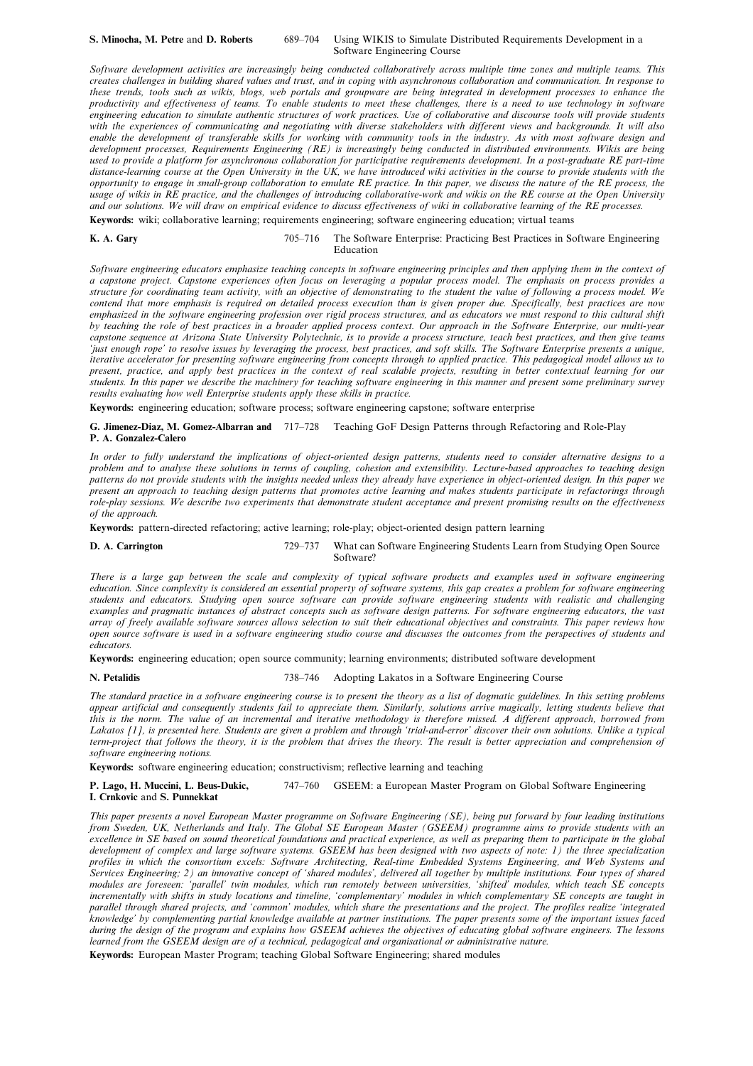#### S. Minocha, M. Petre and D. Roberts 689-704 Using WIKIS to Simulate Distributed Requirements Development in a Software Engineering Course

Software development activities are increasingly being conducted collaboratively across multiple time zones and multiple teams. This creates challenges in building shared values and trust, and in coping with asynchronous collaboration and communication. In response to these trends, tools such as wikis, blogs, web portals and groupware are being integrated in development processes to enhance the productivity and effectiveness of teams. To enable students to meet these challenges, there is a need to use technology in software engineering education to simulate authentic structures of work practices. Use of collaborative and discourse tools will provide students with the experiences of communicating and negotiating with diverse stakeholders with different views and backgrounds. It will also enable the development of transferable skills for working with community tools in the industry. As with most software design and development processes, Requirements Engineering (RE) is increasingly being conducted in distributed environments. Wikis are being used to provide a platform for asynchronous collaboration for participative requirements development. In a post-graduate RE part-time distance-learning course at the Open University in the UK, we have introduced wiki activities in the course to provide students with the opportunity to engage in small-group collaboration to emulate RE practice. In this paper, we discuss the nature of the RE process, the usage of wikis in RE practice, and the challenges of introducing collaborative-work and wikis on the RE course at the Open University and our solutions. We will draw on empirical evidence to discuss effectiveness of wiki in collaborative learning of the RE processes.

Keywords: wiki; collaborative learning; requirements engineering; software engineering education; virtual teams

#### K. A. Gary T05-716 The Software Enterprise: Practicing Best Practices in Software Engineering Education

Software engineering educators emphasize teaching concepts in software engineering principles and then applying them in the context of a capstone project. Capstone experiences often focus on leveraging a popular process model. The emphasis on process provides a structure for coordinating team activity, with an objective of demonstrating to the student the value of following a process model. We contend that more emphasis is required on detailed process execution than is given proper due. Specifically, best practices are now emphasized in the software engineering profession over rigid process structures, and as educators we must respond to this cultural shift by teaching the role of best practices in a broader applied process context. Our approach in the Software Enterprise, our multi-year capstone sequence at Arizona State University Polytechnic, is to provide a process structure, teach best practices, and then give teams `just enough rope' to resolve issues by leveraging the process, best practices, and soft skills. The Software Enterprise presents a unique, iterative accelerator for presenting software engineering from concepts through to applied practice. This pedagogical model allows us to present, practice, and apply best practices in the context of real scalable projects, resulting in better contextual learning for our students. In this paper we describe the machinery for teaching software engineering in this manner and present some preliminary survey results evaluating how well Enterprise students apply these skills in practice.

Keywords: engineering education; software process; software engineering capstone; software enterprise

#### G. Jimenez-Diaz, M. Gomez-Albarran and 717-728 Teaching GoF Design Patterns through Refactoring and Role-Play P. A. Gonzalez-Calero

In order to fully understand the implications of object-oriented design patterns, students need to consider alternative designs to a problem and to analyse these solutions in terms of coupling, cohesion and extensibility. Lecture-based approaches to teaching design patterns do not provide students with the insights needed unless they already have experience in object-oriented design. In this paper we present an approach to teaching design patterns that promotes active learning and makes students participate in refactorings through role-play sessions. We describe two experiments that demonstrate student acceptance and present promising results on the effectiveness of the approach.

Keywords: pattern-directed refactoring; active learning; role-play; object-oriented design pattern learning

D. A. Carrington 729-737 What can Software Engineering Students Learn from Studying Open Source Software?

There is a large gap between the scale and complexity of typical software products and examples used in software engineering education. Since complexity is considered an essential property of software systems, this gap creates a problem for software engineering students and educators. Studying open source software can provide software engineering students with realistic and challenging examples and pragmatic instances of abstract concepts such as software design patterns. For software engineering educators, the vast array of freely available software sources allows selection to suit their educational objectives and constraints. This paper reviews how open source software is used in a software engineering studio course and discusses the outcomes from the perspectives of students and educators.

Keywords: engineering education; open source community; learning environments; distributed software development

### N. Petalidis 738-746 Adopting Lakatos in a Software Engineering Course

The standard practice in a software engineering course is to present the theory as a list of dogmatic guidelines. In this setting problems appear artificial and consequently students fail to appreciate them. Similarly, solutions arrive magically, letting students believe that this is the norm. The value of an incremental and iterative methodology is therefore missed. A different approach, borrowed from Lakatos [1], is presented here. Students are given a problem and through 'trial-and-error' discover their own solutions. Unlike a typical term-project that follows the theory, it is the problem that drives the theory. The result is better appreciation and comprehension of software engineering notions.

Keywords: software engineering education; constructivism; reflective learning and teaching

P. Lago, H. Muccini, L. Beus-Dukic, 747-760 GSEEM: a European Master Program on Global Software Engineering I. Crnkovic and S. Punnekkat

This paper presents a novel European Master programme on Software Engineering (SE), being put forward by four leading institutions from Sweden, UK, Netherlands and Italy. The Global SE European Master (GSEEM) programme aims to provide students with an excellence in SE based on sound theoretical foundations and practical experience, as well as preparing them to participate in the global development of complex and large software systems. GSEEM has been designed with two aspects of note: 1) the three specialization profiles in which the consortium excels: Software Architecting, Real-time Embedded Systems Engineering, and Web Systems and Services Engineering; 2) an innovative concept of `shared modules', delivered all together by multiple institutions. Four types of shared modules are foreseen: `parallel' twin modules, which run remotely between universities, `shifted' modules, which teach SE concepts incrementally with shifts in study locations and timeline, `complementary' modules in which complementary SE concepts are taught in parallel through shared projects, and 'common' modules, which share the presentations and the project. The profiles realize 'integrated knowledge' by complementing partial knowledge available at partner institutions. The paper presents some of the important issues faced during the design of the program and explains how GSEEM achieves the objectives of educating global software engineers. The lessons learned from the GSEEM design are of a technical, pedagogical and organisational or administrative nature.

Keywords: European Master Program; teaching Global Software Engineering; shared modules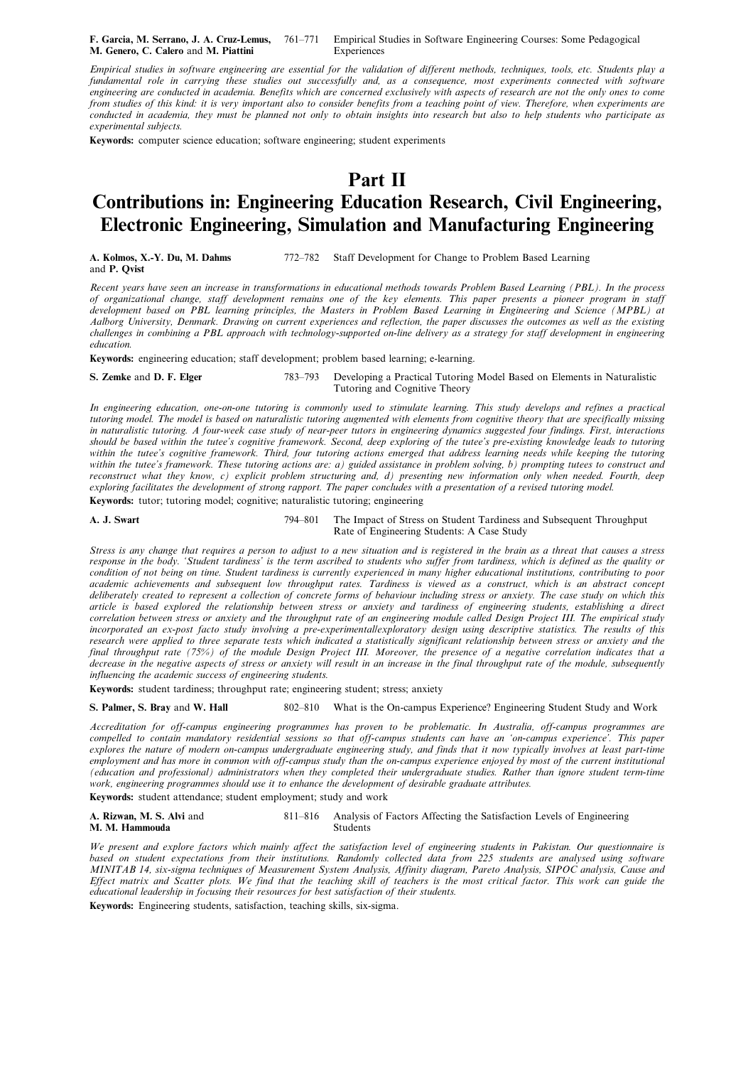F. Garcia, M. Serrano, J. A. Cruz-Lemus, 761-771 Empirical Studies in Software Engineering Courses: Some Pedagogical M. Genero, C. Calero and M. Piattini Experiences

Empirical studies in software engineering are essential for the validation of different methods, techniques, tools, etc. Students play a fundamental role in carrying these studies out successfully and, as a consequence, most experiments connected with software engineering are conducted in academia. Benefits which are concerned exclusively with aspects of research are not the only ones to come from studies of this kind: it is very important also to consider benefits from a teaching point of view. Therefore, when experiments are conducted in academia, they must be planned not only to obtain insights into research but also to help students who participate as experimental subjects.

Keywords: computer science education; software engineering; student experiments

## Part II

# Contributions in: Engineering Education Research, Civil Engineering, Electronic Engineering, Simulation and Manufacturing Engineering

A. Kolmos, X.-Y. Du, M. Dahms 772-782 Staff Development for Change to Problem Based Learning and P. Qvist

Recent years have seen an increase in transformations in educational methods towards Problem Based Learning (PBL). In the process of organizational change, staff development remains one of the key elements. This paper presents a pioneer program in staff development based on PBL learning principles, the Masters in Problem Based Learning in Engineering and Science (MPBL) at Aalborg University, Denmark. Drawing on current experiences and reflection, the paper discusses the outcomes as well as the existing challenges in combining a PBL approach with technology-supported on-line delivery as a strategy for staff development in engineering education.

Keywords: engineering education; staff development; problem based learning; e-learning.

S. Zemke and D. F. Elger 783–793 Developing a Practical Tutoring Model Based on Elements in Naturalistic Tutoring and Cognitive Theory

In engineering education, one-on-one tutoring is commonly used to stimulate learning. This study develops and refines a practical tutoring model. The model is based on naturalistic tutoring augmented with elements from cognitive theory that are specifically missing in naturalistic tutoring. A four-week case study of near-peer tutors in engineering dynamics suggested four findings. First, interactions should be based within the tutee's cognitive framework. Second, deep exploring of the tutee's pre-existing knowledge leads to tutoring within the tutee's cognitive framework. Third, four tutoring actions emerged that address learning needs while keeping the tutoring within the tutee's framework. These tutoring actions are: a) guided assistance in problem solving, b) prompting tutees to construct and reconstruct what they know, c) explicit problem structuring and, d) presenting new information only when needed. Fourth, deep exploring facilitates the development of strong rapport. The paper concludes with a presentation of a revised tutoring model. Keywords: tutor; tutoring model; cognitive; naturalistic tutoring; engineering

A. J. Swart The Impact of Stress on Student Tardiness and Subsequent Throughput

Rate of Engineering Students: A Case Study

Stress is any change that requires a person to adjust to a new situation and is registered in the brain as a threat that causes a stress response in the body. `Student tardiness' is the term ascribed to students who suffer from tardiness, which is defined as the quality or condition of not being on time. Student tardiness is currently experienced in many higher educational institutions, contributing to poor academic achievements and subsequent low throughput rates. Tardiness is viewed as a construct, which is an abstract concept deliberately created to represent a collection of concrete forms of behaviour including stress or anxiety. The case study on which this article is based explored the relationship between stress or anxiety and tardiness of engineering students, establishing a direct correlation between stress or anxiety and the throughput rate of an engineering module called Design Project III. The empirical study incorporated an ex-post facto study involving a pre-experimental/exploratory design using descriptive statistics. The results of this research were applied to three separate tests which indicated a statistically significant relationship between stress or anxiety and the final throughput rate (75%) of the module Design Project III. Moreover, the presence of a negative correlation indicates that a decrease in the negative aspects of stress or anxiety will result in an increase in the final throughput rate of the module, subsequently influencing the academic success of engineering students.

Keywords: student tardiness; throughput rate; engineering student; stress; anxiety

S. Palmer, S. Bray and W. Hall 802-810 What is the On-campus Experience? Engineering Student Study and Work

Accreditation for off-campus engineering programmes has proven to be problematic. In Australia, off-campus programmes are compelled to contain mandatory residential sessions so that off-campus students can have an `on-campus experience'. This paper explores the nature of modern on-campus undergraduate engineering study, and finds that it now typically involves at least part-time employment and has more in common with off-campus study than the on-campus experience enjoyed by most of the current institutional (education and professional) administrators when they completed their undergraduate studies. Rather than ignore student term-time work, engineering programmes should use it to enhance the development of desirable graduate attributes.

Keywords: student attendance; student employment; study and work

A. Rizwan, M. S. Alvi and 811-816 Analysis of Factors Affecting the Satisfaction Levels of Engineering<br>M. M. Hammouda M. M. Hammouda

We present and explore factors which mainly affect the satisfaction level of engineering students in Pakistan. Our questionnaire is based on student expectations from their institutions. Randomly collected data from 225 students are analysed using software MINITAB 14, six-sigma techniques of Measurement System Analysis, Affinity diagram, Pareto Analysis, SIPOC analysis, Cause and Effect matrix and Scatter plots. We find that the teaching skill of teachers is the most critical factor. This work can guide the educational leadership in focusing their resources for best satisfaction of their students.

Keywords: Engineering students, satisfaction, teaching skills, six-sigma.